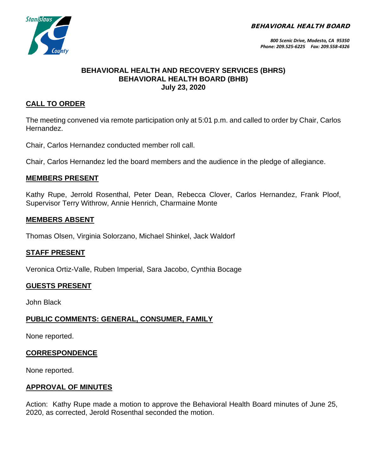BEHAVIORAL HEALTH BOARD



## **BEHAVIORAL HEALTH AND RECOVERY SERVICES (BHRS) BEHAVIORAL HEALTH BOARD (BHB) July 23, 2020**

# **CALL TO ORDER**

The meeting convened via remote participation only at 5:01 p.m. and called to order by Chair, Carlos Hernandez.

Chair, Carlos Hernandez conducted member roll call.

Chair, Carlos Hernandez led the board members and the audience in the pledge of allegiance.

## **MEMBERS PRESENT**

Kathy Rupe, Jerrold Rosenthal, Peter Dean, Rebecca Clover, Carlos Hernandez, Frank Ploof, Supervisor Terry Withrow, Annie Henrich, Charmaine Monte

## **MEMBERS ABSENT**

Thomas Olsen, Virginia Solorzano, Michael Shinkel, Jack Waldorf

### **STAFF PRESENT**

Veronica Ortiz-Valle, Ruben Imperial, Sara Jacobo, Cynthia Bocage

### **GUESTS PRESENT**

John Black

# **PUBLIC COMMENTS: GENERAL, CONSUMER, FAMILY**

None reported.

### **CORRESPONDENCE**

None reported.

### **APPROVAL OF MINUTES**

Action: Kathy Rupe made a motion to approve the Behavioral Health Board minutes of June 25, 2020, as corrected, Jerold Rosenthal seconded the motion.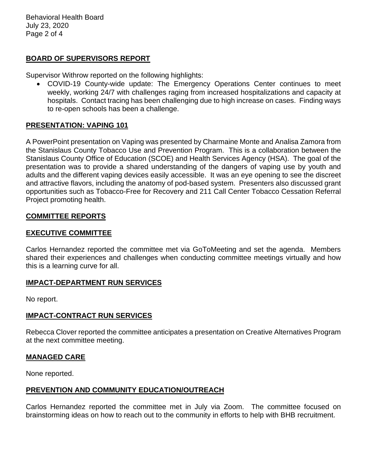Behavioral Health Board July 23, 2020 Page 2 of 4

## **BOARD OF SUPERVISORS REPORT**

Supervisor Withrow reported on the following highlights:

• COVID-19 County-wide update: The Emergency Operations Center continues to meet weekly, working 24/7 with challenges raging from increased hospitalizations and capacity at hospitals. Contact tracing has been challenging due to high increase on cases. Finding ways to re-open schools has been a challenge.

### **PRESENTATION: VAPING 101**

A PowerPoint presentation on Vaping was presented by Charmaine Monte and Analisa Zamora from the Stanislaus County Tobacco Use and Prevention Program. This is a collaboration between the Stanislaus County Office of Education (SCOE) and Health Services Agency (HSA). The goal of the presentation was to provide a shared understanding of the dangers of vaping use by youth and adults and the different vaping devices easily accessible. It was an eye opening to see the discreet and attractive flavors, including the anatomy of pod-based system. Presenters also discussed grant opportunities such as Tobacco-Free for Recovery and 211 Call Center Tobacco Cessation Referral Project promoting health.

#### **COMMITTEE REPORTS**

### **EXECUTIVE COMMITTEE**

Carlos Hernandez reported the committee met via GoToMeeting and set the agenda. Members shared their experiences and challenges when conducting committee meetings virtually and how this is a learning curve for all.

#### **IMPACT-DEPARTMENT RUN SERVICES**

No report.

#### **IMPACT-CONTRACT RUN SERVICES**

Rebecca Clover reported the committee anticipates a presentation on Creative Alternatives Program at the next committee meeting.

#### **MANAGED CARE**

None reported.

### **PREVENTION AND COMMUNITY EDUCATION/OUTREACH**

Carlos Hernandez reported the committee met in July via Zoom. The committee focused on brainstorming ideas on how to reach out to the community in efforts to help with BHB recruitment.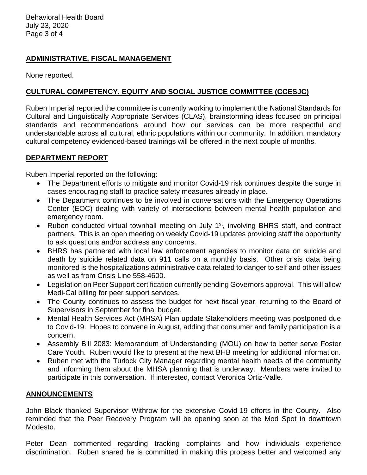Behavioral Health Board July 23, 2020 Page 3 of 4

# **ADMINISTRATIVE, FISCAL MANAGEMENT**

None reported.

# **CULTURAL COMPETENCY, EQUITY AND SOCIAL JUSTICE COMMITTEE (CCESJC)**

Ruben Imperial reported the committee is currently working to implement the National Standards for Cultural and Linguistically Appropriate Services (CLAS), brainstorming ideas focused on principal standards and recommendations around how our services can be more respectful and understandable across all cultural, ethnic populations within our community. In addition, mandatory cultural competency evidenced-based trainings will be offered in the next couple of months.

# **DEPARTMENT REPORT**

Ruben Imperial reported on the following:

- The Department efforts to mitigate and monitor Covid-19 risk continues despite the surge in cases encouraging staff to practice safety measures already in place.
- The Department continues to be involved in conversations with the Emergency Operations Center (EOC) dealing with variety of intersections between mental health population and emergency room.
- Ruben conducted virtual townhall meeting on July 1<sup>st</sup>, involving BHRS staff, and contract partners. This is an open meeting on weekly Covid-19 updates providing staff the opportunity to ask questions and/or address any concerns.
- BHRS has partnered with local law enforcement agencies to monitor data on suicide and death by suicide related data on 911 calls on a monthly basis. Other crisis data being monitored is the hospitalizations administrative data related to danger to self and other issues as well as from Crisis Line 558-4600.
- Legislation on Peer Support certification currently pending Governors approval. This will allow Medi-Cal billing for peer support services.
- The County continues to assess the budget for next fiscal year, returning to the Board of Supervisors in September for final budget.
- Mental Health Services Act (MHSA) Plan update Stakeholders meeting was postponed due to Covid-19. Hopes to convene in August, adding that consumer and family participation is a concern.
- Assembly Bill 2083: Memorandum of Understanding (MOU) on how to better serve Foster Care Youth. Ruben would like to present at the next BHB meeting for additional information.
- Ruben met with the Turlock City Manager regarding mental health needs of the community and informing them about the MHSA planning that is underway. Members were invited to participate in this conversation. If interested, contact Veronica Ortiz-Valle.

# **ANNOUNCEMENTS**

John Black thanked Supervisor Withrow for the extensive Covid-19 efforts in the County. Also reminded that the Peer Recovery Program will be opening soon at the Mod Spot in downtown Modesto.

Peter Dean commented regarding tracking complaints and how individuals experience discrimination. Ruben shared he is committed in making this process better and welcomed any